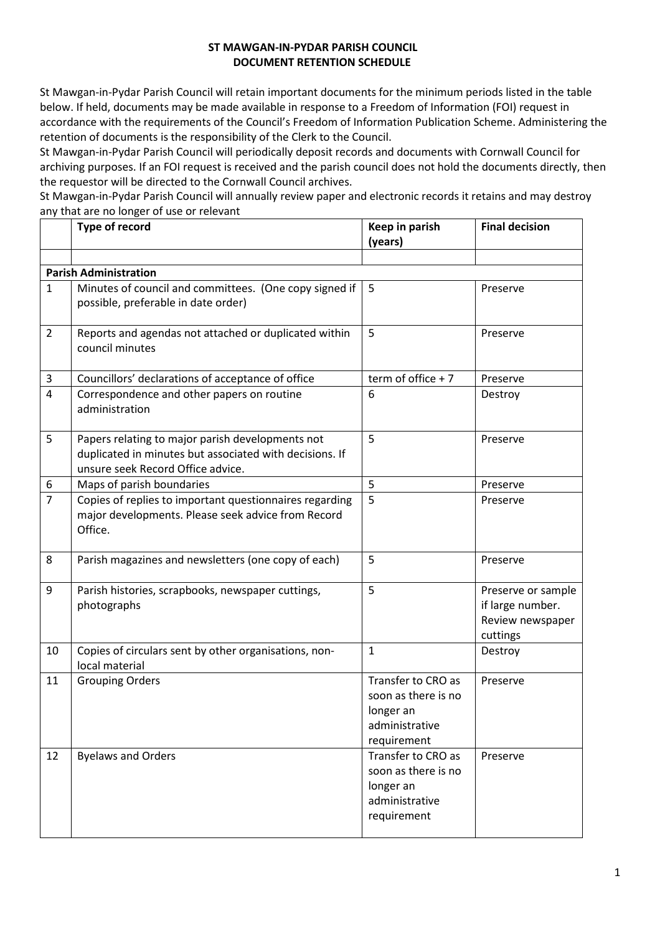## **ST MAWGAN-IN-PYDAR PARISH COUNCIL DOCUMENT RETENTION SCHEDULE**

St Mawgan-in-Pydar Parish Council will retain important documents for the minimum periods listed in the table below. If held, documents may be made available in response to a Freedom of Information (FOI) request in accordance with the requirements of the Council's Freedom of Information Publication Scheme. Administering the retention of documents is the responsibility of the Clerk to the Council.

St Mawgan-in-Pydar Parish Council will periodically deposit records and documents with Cornwall Council for archiving purposes. If an FOI request is received and the parish council does not hold the documents directly, then the requestor will be directed to the Cornwall Council archives.

St Mawgan-in-Pydar Parish Council will annually review paper and electronic records it retains and may destroy any that are no longer of use or relevant

|                              | Type of record                                                                                                                                   | Keep in parish<br>(years)                                                               | <b>Final decision</b>                                                  |  |  |  |
|------------------------------|--------------------------------------------------------------------------------------------------------------------------------------------------|-----------------------------------------------------------------------------------------|------------------------------------------------------------------------|--|--|--|
|                              |                                                                                                                                                  |                                                                                         |                                                                        |  |  |  |
| <b>Parish Administration</b> |                                                                                                                                                  |                                                                                         |                                                                        |  |  |  |
| $\mathbf{1}$                 | Minutes of council and committees. (One copy signed if<br>possible, preferable in date order)                                                    | 5                                                                                       | Preserve                                                               |  |  |  |
| $\overline{2}$               | Reports and agendas not attached or duplicated within<br>council minutes                                                                         | 5                                                                                       | Preserve                                                               |  |  |  |
| 3                            | Councillors' declarations of acceptance of office                                                                                                | term of office $+7$                                                                     | Preserve                                                               |  |  |  |
| $\overline{4}$               | Correspondence and other papers on routine<br>administration                                                                                     | 6                                                                                       | Destroy                                                                |  |  |  |
| 5                            | Papers relating to major parish developments not<br>duplicated in minutes but associated with decisions. If<br>unsure seek Record Office advice. | 5                                                                                       | Preserve                                                               |  |  |  |
| 6                            | Maps of parish boundaries                                                                                                                        | 5                                                                                       | Preserve                                                               |  |  |  |
| $\overline{7}$               | Copies of replies to important questionnaires regarding<br>major developments. Please seek advice from Record<br>Office.                         | 5                                                                                       | Preserve                                                               |  |  |  |
| 8                            | Parish magazines and newsletters (one copy of each)                                                                                              | 5                                                                                       | Preserve                                                               |  |  |  |
| 9                            | Parish histories, scrapbooks, newspaper cuttings,<br>photographs                                                                                 | 5                                                                                       | Preserve or sample<br>if large number.<br>Review newspaper<br>cuttings |  |  |  |
| 10                           | Copies of circulars sent by other organisations, non-<br>local material                                                                          | $\mathbf{1}$                                                                            | Destroy                                                                |  |  |  |
| 11                           | <b>Grouping Orders</b>                                                                                                                           | Transfer to CRO as<br>soon as there is no<br>longer an<br>administrative<br>requirement | Preserve                                                               |  |  |  |
| 12                           | <b>Byelaws and Orders</b>                                                                                                                        | Transfer to CRO as<br>soon as there is no<br>longer an<br>administrative<br>requirement | Preserve                                                               |  |  |  |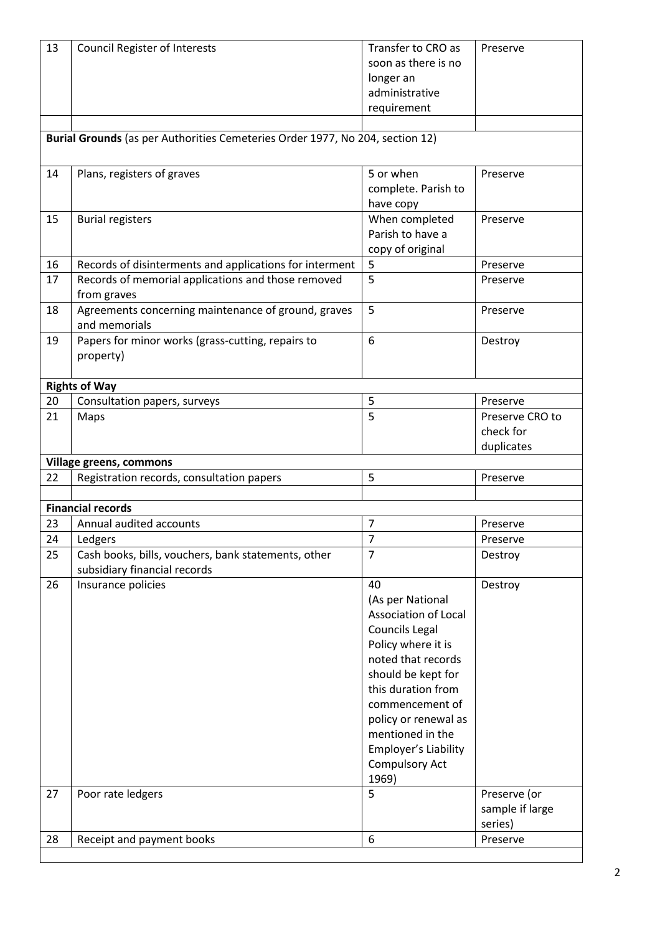| soon as there is no<br>longer an<br>administrative<br>requirement<br>Burial Grounds (as per Authorities Cemeteries Order 1977, No 204, section 12)<br>14<br>5 or when<br>Plans, registers of graves<br>Preserve<br>complete. Parish to<br>have copy<br>When completed<br>15<br><b>Burial registers</b><br>Preserve<br>Parish to have a<br>copy of original<br>5<br>16<br>Records of disinterments and applications for interment<br>Preserve<br>5<br>Records of memorial applications and those removed<br>17<br>Preserve<br>from graves<br>5<br>Agreements concerning maintenance of ground, graves<br>18<br>Preserve<br>and memorials<br>6<br>19<br>Papers for minor works (grass-cutting, repairs to<br>Destroy<br>property)<br><b>Rights of Way</b><br>20<br>Consultation papers, surveys<br>5<br>Preserve<br>5<br>21<br>Preserve CRO to<br>Maps<br>check for<br>duplicates<br>Village greens, commons<br>5<br>22<br>Registration records, consultation papers<br>Preserve<br><b>Financial records</b><br>Annual audited accounts<br>$\overline{7}$<br>23<br>Preserve<br>$\overline{7}$<br>24<br>Ledgers<br>Preserve<br>$\overline{7}$<br>25<br>Cash books, bills, vouchers, bank statements, other<br>Destroy<br>subsidiary financial records<br>26<br>Insurance policies<br>40<br>Destroy<br>(As per National<br><b>Association of Local</b><br><b>Councils Legal</b><br>Policy where it is<br>noted that records<br>should be kept for<br>this duration from<br>commencement of<br>policy or renewal as<br>mentioned in the<br>Employer's Liability<br><b>Compulsory Act</b><br>1969)<br>27<br>5<br>Preserve (or<br>Poor rate ledgers<br>sample if large<br>series)<br>6<br>28<br>Receipt and payment books<br>Preserve | 13 | <b>Council Register of Interests</b> | Transfer to CRO as | Preserve |  |  |  |
|--------------------------------------------------------------------------------------------------------------------------------------------------------------------------------------------------------------------------------------------------------------------------------------------------------------------------------------------------------------------------------------------------------------------------------------------------------------------------------------------------------------------------------------------------------------------------------------------------------------------------------------------------------------------------------------------------------------------------------------------------------------------------------------------------------------------------------------------------------------------------------------------------------------------------------------------------------------------------------------------------------------------------------------------------------------------------------------------------------------------------------------------------------------------------------------------------------------------------------------------------------------------------------------------------------------------------------------------------------------------------------------------------------------------------------------------------------------------------------------------------------------------------------------------------------------------------------------------------------------------------------------------------------------------------------------------------------------------------------|----|--------------------------------------|--------------------|----------|--|--|--|
|                                                                                                                                                                                                                                                                                                                                                                                                                                                                                                                                                                                                                                                                                                                                                                                                                                                                                                                                                                                                                                                                                                                                                                                                                                                                                                                                                                                                                                                                                                                                                                                                                                                                                                                                |    |                                      |                    |          |  |  |  |
|                                                                                                                                                                                                                                                                                                                                                                                                                                                                                                                                                                                                                                                                                                                                                                                                                                                                                                                                                                                                                                                                                                                                                                                                                                                                                                                                                                                                                                                                                                                                                                                                                                                                                                                                |    |                                      |                    |          |  |  |  |
|                                                                                                                                                                                                                                                                                                                                                                                                                                                                                                                                                                                                                                                                                                                                                                                                                                                                                                                                                                                                                                                                                                                                                                                                                                                                                                                                                                                                                                                                                                                                                                                                                                                                                                                                |    |                                      |                    |          |  |  |  |
|                                                                                                                                                                                                                                                                                                                                                                                                                                                                                                                                                                                                                                                                                                                                                                                                                                                                                                                                                                                                                                                                                                                                                                                                                                                                                                                                                                                                                                                                                                                                                                                                                                                                                                                                |    |                                      |                    |          |  |  |  |
|                                                                                                                                                                                                                                                                                                                                                                                                                                                                                                                                                                                                                                                                                                                                                                                                                                                                                                                                                                                                                                                                                                                                                                                                                                                                                                                                                                                                                                                                                                                                                                                                                                                                                                                                |    |                                      |                    |          |  |  |  |
|                                                                                                                                                                                                                                                                                                                                                                                                                                                                                                                                                                                                                                                                                                                                                                                                                                                                                                                                                                                                                                                                                                                                                                                                                                                                                                                                                                                                                                                                                                                                                                                                                                                                                                                                |    |                                      |                    |          |  |  |  |
|                                                                                                                                                                                                                                                                                                                                                                                                                                                                                                                                                                                                                                                                                                                                                                                                                                                                                                                                                                                                                                                                                                                                                                                                                                                                                                                                                                                                                                                                                                                                                                                                                                                                                                                                |    |                                      |                    |          |  |  |  |
|                                                                                                                                                                                                                                                                                                                                                                                                                                                                                                                                                                                                                                                                                                                                                                                                                                                                                                                                                                                                                                                                                                                                                                                                                                                                                                                                                                                                                                                                                                                                                                                                                                                                                                                                |    |                                      |                    |          |  |  |  |
|                                                                                                                                                                                                                                                                                                                                                                                                                                                                                                                                                                                                                                                                                                                                                                                                                                                                                                                                                                                                                                                                                                                                                                                                                                                                                                                                                                                                                                                                                                                                                                                                                                                                                                                                |    |                                      |                    |          |  |  |  |
|                                                                                                                                                                                                                                                                                                                                                                                                                                                                                                                                                                                                                                                                                                                                                                                                                                                                                                                                                                                                                                                                                                                                                                                                                                                                                                                                                                                                                                                                                                                                                                                                                                                                                                                                |    |                                      |                    |          |  |  |  |
|                                                                                                                                                                                                                                                                                                                                                                                                                                                                                                                                                                                                                                                                                                                                                                                                                                                                                                                                                                                                                                                                                                                                                                                                                                                                                                                                                                                                                                                                                                                                                                                                                                                                                                                                |    |                                      |                    |          |  |  |  |
|                                                                                                                                                                                                                                                                                                                                                                                                                                                                                                                                                                                                                                                                                                                                                                                                                                                                                                                                                                                                                                                                                                                                                                                                                                                                                                                                                                                                                                                                                                                                                                                                                                                                                                                                |    |                                      |                    |          |  |  |  |
|                                                                                                                                                                                                                                                                                                                                                                                                                                                                                                                                                                                                                                                                                                                                                                                                                                                                                                                                                                                                                                                                                                                                                                                                                                                                                                                                                                                                                                                                                                                                                                                                                                                                                                                                |    |                                      |                    |          |  |  |  |
|                                                                                                                                                                                                                                                                                                                                                                                                                                                                                                                                                                                                                                                                                                                                                                                                                                                                                                                                                                                                                                                                                                                                                                                                                                                                                                                                                                                                                                                                                                                                                                                                                                                                                                                                |    |                                      |                    |          |  |  |  |
|                                                                                                                                                                                                                                                                                                                                                                                                                                                                                                                                                                                                                                                                                                                                                                                                                                                                                                                                                                                                                                                                                                                                                                                                                                                                                                                                                                                                                                                                                                                                                                                                                                                                                                                                |    |                                      |                    |          |  |  |  |
|                                                                                                                                                                                                                                                                                                                                                                                                                                                                                                                                                                                                                                                                                                                                                                                                                                                                                                                                                                                                                                                                                                                                                                                                                                                                                                                                                                                                                                                                                                                                                                                                                                                                                                                                |    |                                      |                    |          |  |  |  |
|                                                                                                                                                                                                                                                                                                                                                                                                                                                                                                                                                                                                                                                                                                                                                                                                                                                                                                                                                                                                                                                                                                                                                                                                                                                                                                                                                                                                                                                                                                                                                                                                                                                                                                                                |    |                                      |                    |          |  |  |  |
|                                                                                                                                                                                                                                                                                                                                                                                                                                                                                                                                                                                                                                                                                                                                                                                                                                                                                                                                                                                                                                                                                                                                                                                                                                                                                                                                                                                                                                                                                                                                                                                                                                                                                                                                |    |                                      |                    |          |  |  |  |
|                                                                                                                                                                                                                                                                                                                                                                                                                                                                                                                                                                                                                                                                                                                                                                                                                                                                                                                                                                                                                                                                                                                                                                                                                                                                                                                                                                                                                                                                                                                                                                                                                                                                                                                                |    |                                      |                    |          |  |  |  |
|                                                                                                                                                                                                                                                                                                                                                                                                                                                                                                                                                                                                                                                                                                                                                                                                                                                                                                                                                                                                                                                                                                                                                                                                                                                                                                                                                                                                                                                                                                                                                                                                                                                                                                                                |    |                                      |                    |          |  |  |  |
|                                                                                                                                                                                                                                                                                                                                                                                                                                                                                                                                                                                                                                                                                                                                                                                                                                                                                                                                                                                                                                                                                                                                                                                                                                                                                                                                                                                                                                                                                                                                                                                                                                                                                                                                |    |                                      |                    |          |  |  |  |
|                                                                                                                                                                                                                                                                                                                                                                                                                                                                                                                                                                                                                                                                                                                                                                                                                                                                                                                                                                                                                                                                                                                                                                                                                                                                                                                                                                                                                                                                                                                                                                                                                                                                                                                                |    |                                      |                    |          |  |  |  |
|                                                                                                                                                                                                                                                                                                                                                                                                                                                                                                                                                                                                                                                                                                                                                                                                                                                                                                                                                                                                                                                                                                                                                                                                                                                                                                                                                                                                                                                                                                                                                                                                                                                                                                                                |    |                                      |                    |          |  |  |  |
|                                                                                                                                                                                                                                                                                                                                                                                                                                                                                                                                                                                                                                                                                                                                                                                                                                                                                                                                                                                                                                                                                                                                                                                                                                                                                                                                                                                                                                                                                                                                                                                                                                                                                                                                |    |                                      |                    |          |  |  |  |
|                                                                                                                                                                                                                                                                                                                                                                                                                                                                                                                                                                                                                                                                                                                                                                                                                                                                                                                                                                                                                                                                                                                                                                                                                                                                                                                                                                                                                                                                                                                                                                                                                                                                                                                                |    |                                      |                    |          |  |  |  |
|                                                                                                                                                                                                                                                                                                                                                                                                                                                                                                                                                                                                                                                                                                                                                                                                                                                                                                                                                                                                                                                                                                                                                                                                                                                                                                                                                                                                                                                                                                                                                                                                                                                                                                                                |    |                                      |                    |          |  |  |  |
|                                                                                                                                                                                                                                                                                                                                                                                                                                                                                                                                                                                                                                                                                                                                                                                                                                                                                                                                                                                                                                                                                                                                                                                                                                                                                                                                                                                                                                                                                                                                                                                                                                                                                                                                |    |                                      |                    |          |  |  |  |
|                                                                                                                                                                                                                                                                                                                                                                                                                                                                                                                                                                                                                                                                                                                                                                                                                                                                                                                                                                                                                                                                                                                                                                                                                                                                                                                                                                                                                                                                                                                                                                                                                                                                                                                                |    |                                      |                    |          |  |  |  |
|                                                                                                                                                                                                                                                                                                                                                                                                                                                                                                                                                                                                                                                                                                                                                                                                                                                                                                                                                                                                                                                                                                                                                                                                                                                                                                                                                                                                                                                                                                                                                                                                                                                                                                                                |    |                                      |                    |          |  |  |  |
|                                                                                                                                                                                                                                                                                                                                                                                                                                                                                                                                                                                                                                                                                                                                                                                                                                                                                                                                                                                                                                                                                                                                                                                                                                                                                                                                                                                                                                                                                                                                                                                                                                                                                                                                |    |                                      |                    |          |  |  |  |
|                                                                                                                                                                                                                                                                                                                                                                                                                                                                                                                                                                                                                                                                                                                                                                                                                                                                                                                                                                                                                                                                                                                                                                                                                                                                                                                                                                                                                                                                                                                                                                                                                                                                                                                                |    |                                      |                    |          |  |  |  |
|                                                                                                                                                                                                                                                                                                                                                                                                                                                                                                                                                                                                                                                                                                                                                                                                                                                                                                                                                                                                                                                                                                                                                                                                                                                                                                                                                                                                                                                                                                                                                                                                                                                                                                                                |    |                                      |                    |          |  |  |  |
|                                                                                                                                                                                                                                                                                                                                                                                                                                                                                                                                                                                                                                                                                                                                                                                                                                                                                                                                                                                                                                                                                                                                                                                                                                                                                                                                                                                                                                                                                                                                                                                                                                                                                                                                |    |                                      |                    |          |  |  |  |
|                                                                                                                                                                                                                                                                                                                                                                                                                                                                                                                                                                                                                                                                                                                                                                                                                                                                                                                                                                                                                                                                                                                                                                                                                                                                                                                                                                                                                                                                                                                                                                                                                                                                                                                                |    |                                      |                    |          |  |  |  |
|                                                                                                                                                                                                                                                                                                                                                                                                                                                                                                                                                                                                                                                                                                                                                                                                                                                                                                                                                                                                                                                                                                                                                                                                                                                                                                                                                                                                                                                                                                                                                                                                                                                                                                                                |    |                                      |                    |          |  |  |  |
|                                                                                                                                                                                                                                                                                                                                                                                                                                                                                                                                                                                                                                                                                                                                                                                                                                                                                                                                                                                                                                                                                                                                                                                                                                                                                                                                                                                                                                                                                                                                                                                                                                                                                                                                |    |                                      |                    |          |  |  |  |
|                                                                                                                                                                                                                                                                                                                                                                                                                                                                                                                                                                                                                                                                                                                                                                                                                                                                                                                                                                                                                                                                                                                                                                                                                                                                                                                                                                                                                                                                                                                                                                                                                                                                                                                                |    |                                      |                    |          |  |  |  |
|                                                                                                                                                                                                                                                                                                                                                                                                                                                                                                                                                                                                                                                                                                                                                                                                                                                                                                                                                                                                                                                                                                                                                                                                                                                                                                                                                                                                                                                                                                                                                                                                                                                                                                                                |    |                                      |                    |          |  |  |  |
|                                                                                                                                                                                                                                                                                                                                                                                                                                                                                                                                                                                                                                                                                                                                                                                                                                                                                                                                                                                                                                                                                                                                                                                                                                                                                                                                                                                                                                                                                                                                                                                                                                                                                                                                |    |                                      |                    |          |  |  |  |
|                                                                                                                                                                                                                                                                                                                                                                                                                                                                                                                                                                                                                                                                                                                                                                                                                                                                                                                                                                                                                                                                                                                                                                                                                                                                                                                                                                                                                                                                                                                                                                                                                                                                                                                                |    |                                      |                    |          |  |  |  |
|                                                                                                                                                                                                                                                                                                                                                                                                                                                                                                                                                                                                                                                                                                                                                                                                                                                                                                                                                                                                                                                                                                                                                                                                                                                                                                                                                                                                                                                                                                                                                                                                                                                                                                                                |    |                                      |                    |          |  |  |  |
|                                                                                                                                                                                                                                                                                                                                                                                                                                                                                                                                                                                                                                                                                                                                                                                                                                                                                                                                                                                                                                                                                                                                                                                                                                                                                                                                                                                                                                                                                                                                                                                                                                                                                                                                |    |                                      |                    |          |  |  |  |
|                                                                                                                                                                                                                                                                                                                                                                                                                                                                                                                                                                                                                                                                                                                                                                                                                                                                                                                                                                                                                                                                                                                                                                                                                                                                                                                                                                                                                                                                                                                                                                                                                                                                                                                                |    |                                      |                    |          |  |  |  |
|                                                                                                                                                                                                                                                                                                                                                                                                                                                                                                                                                                                                                                                                                                                                                                                                                                                                                                                                                                                                                                                                                                                                                                                                                                                                                                                                                                                                                                                                                                                                                                                                                                                                                                                                |    |                                      |                    |          |  |  |  |
|                                                                                                                                                                                                                                                                                                                                                                                                                                                                                                                                                                                                                                                                                                                                                                                                                                                                                                                                                                                                                                                                                                                                                                                                                                                                                                                                                                                                                                                                                                                                                                                                                                                                                                                                |    |                                      |                    |          |  |  |  |
|                                                                                                                                                                                                                                                                                                                                                                                                                                                                                                                                                                                                                                                                                                                                                                                                                                                                                                                                                                                                                                                                                                                                                                                                                                                                                                                                                                                                                                                                                                                                                                                                                                                                                                                                |    |                                      |                    |          |  |  |  |
|                                                                                                                                                                                                                                                                                                                                                                                                                                                                                                                                                                                                                                                                                                                                                                                                                                                                                                                                                                                                                                                                                                                                                                                                                                                                                                                                                                                                                                                                                                                                                                                                                                                                                                                                |    |                                      |                    |          |  |  |  |
|                                                                                                                                                                                                                                                                                                                                                                                                                                                                                                                                                                                                                                                                                                                                                                                                                                                                                                                                                                                                                                                                                                                                                                                                                                                                                                                                                                                                                                                                                                                                                                                                                                                                                                                                |    |                                      |                    |          |  |  |  |
|                                                                                                                                                                                                                                                                                                                                                                                                                                                                                                                                                                                                                                                                                                                                                                                                                                                                                                                                                                                                                                                                                                                                                                                                                                                                                                                                                                                                                                                                                                                                                                                                                                                                                                                                |    |                                      |                    |          |  |  |  |
|                                                                                                                                                                                                                                                                                                                                                                                                                                                                                                                                                                                                                                                                                                                                                                                                                                                                                                                                                                                                                                                                                                                                                                                                                                                                                                                                                                                                                                                                                                                                                                                                                                                                                                                                |    |                                      |                    |          |  |  |  |
|                                                                                                                                                                                                                                                                                                                                                                                                                                                                                                                                                                                                                                                                                                                                                                                                                                                                                                                                                                                                                                                                                                                                                                                                                                                                                                                                                                                                                                                                                                                                                                                                                                                                                                                                |    |                                      |                    |          |  |  |  |
|                                                                                                                                                                                                                                                                                                                                                                                                                                                                                                                                                                                                                                                                                                                                                                                                                                                                                                                                                                                                                                                                                                                                                                                                                                                                                                                                                                                                                                                                                                                                                                                                                                                                                                                                |    |                                      |                    |          |  |  |  |
|                                                                                                                                                                                                                                                                                                                                                                                                                                                                                                                                                                                                                                                                                                                                                                                                                                                                                                                                                                                                                                                                                                                                                                                                                                                                                                                                                                                                                                                                                                                                                                                                                                                                                                                                |    |                                      |                    |          |  |  |  |